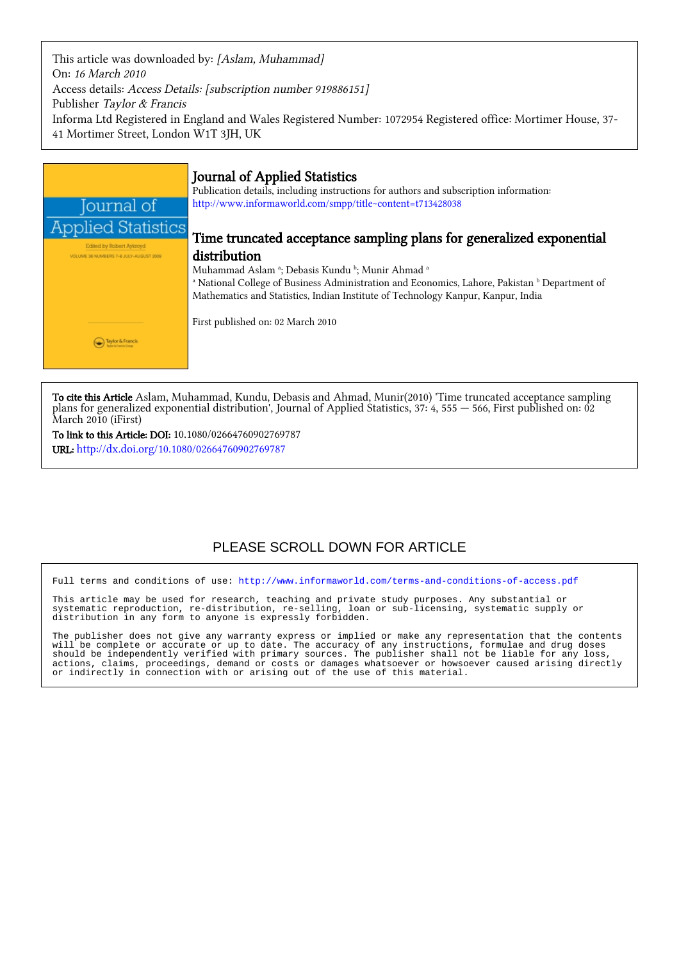This article was downloaded by: [Aslam, Muhammad] On: 16 March 2010 Access details: Access Details: [subscription number 919886151] Publisher Taylor & Francis Informa Ltd Registered in England and Wales Registered Number: 1072954 Registered office: Mortimer House, 37- 41 Mortimer Street, London W1T 3JH, UK



To cite this Article Aslam, Muhammad, Kundu, Debasis and Ahmad, Munir(2010) 'Time truncated acceptance sampling plans for generalized exponential distribution', Journal of Applied Statistics, 37: 4, 555 — 566, First published on: 02 March 2010 (*iFirst*)

To link to this Article: DOI: 10.1080/02664760902769787 URL: <http://dx.doi.org/10.1080/02664760902769787>

## PLEASE SCROLL DOWN FOR ARTICLE

Full terms and conditions of use:<http://www.informaworld.com/terms-and-conditions-of-access.pdf>

This article may be used for research, teaching and private study purposes. Any substantial or systematic reproduction, re-distribution, re-selling, loan or sub-licensing, systematic supply or distribution in any form to anyone is expressly forbidden.

The publisher does not give any warranty express or implied or make any representation that the contents will be complete or accurate or up to date. The accuracy of any instructions, formulae and drug doses should be independently verified with primary sources. The publisher shall not be liable for any loss, actions, claims, proceedings, demand or costs or damages whatsoever or howsoever caused arising directly or indirectly in connection with or arising out of the use of this material.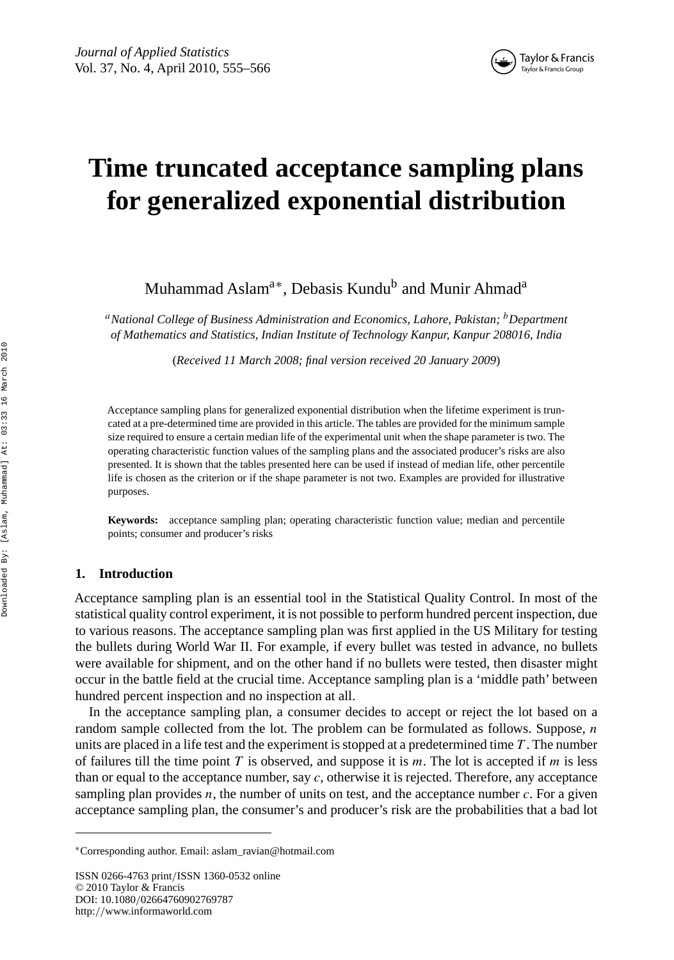

# **Time truncated acceptance sampling plans for generalized exponential distribution**

Muhammad Aslam<sup>a∗</sup>, Debasis Kundu<sup>b</sup> and Munir Ahmad<sup>a</sup>

*<sup>a</sup>National College of Business Administration and Economics, Lahore, Pakistan; <sup>b</sup>Department of Mathematics and Statistics, Indian Institute of Technology Kanpur, Kanpur 208016, India*

(*Received 11 March 2008; final version received 20 January 2009*)

Acceptance sampling plans for generalized exponential distribution when the lifetime experiment is truncated at a pre-determined time are provided in this article. The tables are provided for the minimum sample size required to ensure a certain median life of the experimental unit when the shape parameter is two. The operating characteristic function values of the sampling plans and the associated producer's risks are also presented. It is shown that the tables presented here can be used if instead of median life, other percentile life is chosen as the criterion or if the shape parameter is not two. Examples are provided for illustrative purposes.

**Keywords:** acceptance sampling plan; operating characteristic function value; median and percentile points; consumer and producer's risks

#### **1. Introduction**

Acceptance sampling plan is an essential tool in the Statistical Quality Control. In most of the statistical quality control experiment, it is not possible to perform hundred percent inspection, due to various reasons. The acceptance sampling plan was first applied in the US Military for testing the bullets during World War II. For example, if every bullet was tested in advance, no bullets were available for shipment, and on the other hand if no bullets were tested, then disaster might occur in the battle field at the crucial time. Acceptance sampling plan is a 'middle path' between hundred percent inspection and no inspection at all.

In the acceptance sampling plan, a consumer decides to accept or reject the lot based on a random sample collected from the lot. The problem can be formulated as follows. Suppose, *n* units are placed in a life test and the experiment is stopped at a predetermined time *T* . The number of failures till the time point *T* is observed, and suppose it is *m*. The lot is accepted if *m* is less than or equal to the acceptance number, say *c*, otherwise it is rejected. Therefore, any acceptance sampling plan provides *n*, the number of units on test, and the acceptance number *c*. For a given acceptance sampling plan, the consumer's and producer's risk are the probabilities that a bad lot

ISSN 0266-4763 print*/*ISSN 1360-0532 online © 2010 Taylor & Francis DOI: 10.1080*/*02664760902769787 http:*//*www.informaworld.com

<sup>∗</sup>Corresponding author. Email: aslam\_ravian@hotmail.com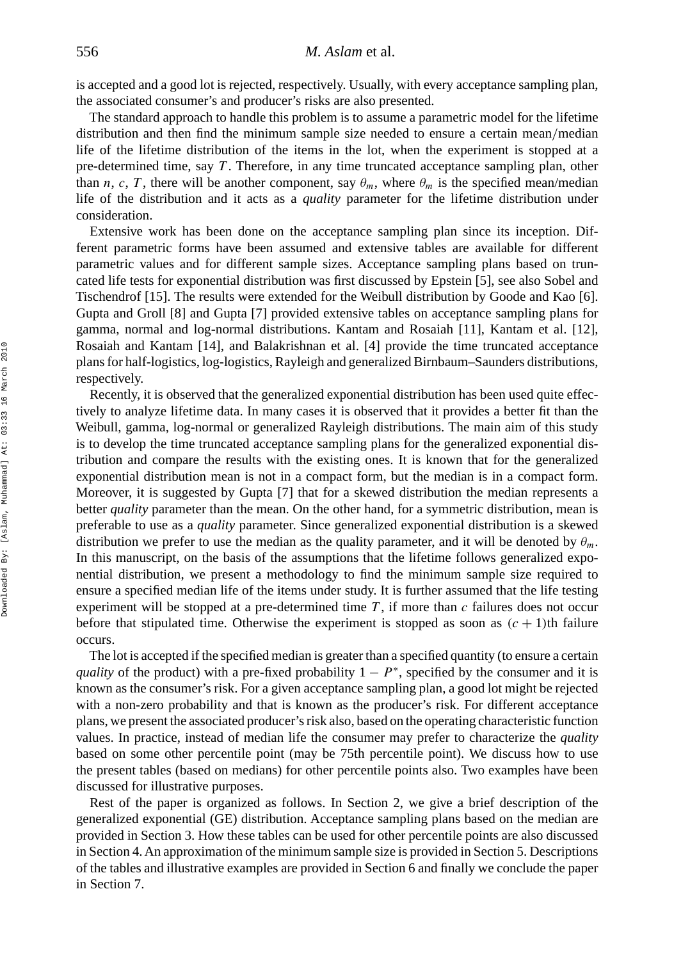is accepted and a good lot is rejected, respectively. Usually, with every acceptance sampling plan, the associated consumer's and producer's risks are also presented.

The standard approach to handle this problem is to assume a parametric model for the lifetime distribution and then find the minimum sample size needed to ensure a certain mean*/*median life of the lifetime distribution of the items in the lot, when the experiment is stopped at a pre-determined time, say *T* . Therefore, in any time truncated acceptance sampling plan, other than *n*, *c*, *T*, there will be another component, say  $\theta_m$ , where  $\theta_m$  is the specified mean/median life of the distribution and it acts as a *quality* parameter for the lifetime distribution under consideration.

Extensive work has been done on the acceptance sampling plan since its inception. Different parametric forms have been assumed and extensive tables are available for different parametric values and for different sample sizes. Acceptance sampling plans based on truncated life tests for exponential distribution was first discussed by Epstein [5], see also Sobel and Tischendrof [15]. The results were extended for the Weibull distribution by Goode and Kao [6]. Gupta and Groll [8] and Gupta [7] provided extensive tables on acceptance sampling plans for gamma, normal and log-normal distributions. Kantam and Rosaiah [11], Kantam et al. [12], Rosaiah and Kantam [14], and Balakrishnan et al. [4] provide the time truncated acceptance plans for half-logistics, log-logistics, Rayleigh and generalized Birnbaum–Saunders distributions, respectively.

Recently, it is observed that the generalized exponential distribution has been used quite effectively to analyze lifetime data. In many cases it is observed that it provides a better fit than the Weibull, gamma, log-normal or generalized Rayleigh distributions. The main aim of this study is to develop the time truncated acceptance sampling plans for the generalized exponential distribution and compare the results with the existing ones. It is known that for the generalized exponential distribution mean is not in a compact form, but the median is in a compact form. Moreover, it is suggested by Gupta [7] that for a skewed distribution the median represents a better *quality* parameter than the mean. On the other hand, for a symmetric distribution, mean is preferable to use as a *quality* parameter. Since generalized exponential distribution is a skewed distribution we prefer to use the median as the quality parameter, and it will be denoted by *θm*. In this manuscript, on the basis of the assumptions that the lifetime follows generalized exponential distribution, we present a methodology to find the minimum sample size required to ensure a specified median life of the items under study. It is further assumed that the life testing experiment will be stopped at a pre-determined time  $T$ , if more than  $c$  failures does not occur before that stipulated time. Otherwise the experiment is stopped as soon as  $(c + 1)$ th failure occurs.

The lot is accepted if the specified median is greater than a specified quantity (to ensure a certain *quality* of the product) with a pre-fixed probability  $1 - P^*$ , specified by the consumer and it is known as the consumer's risk. For a given acceptance sampling plan, a good lot might be rejected with a non-zero probability and that is known as the producer's risk. For different acceptance plans, we present the associated producer's risk also, based on the operating characteristic function values. In practice, instead of median life the consumer may prefer to characterize the *quality* based on some other percentile point (may be 75th percentile point). We discuss how to use the present tables (based on medians) for other percentile points also. Two examples have been discussed for illustrative purposes.

Rest of the paper is organized as follows. In Section 2, we give a brief description of the generalized exponential (GE) distribution. Acceptance sampling plans based on the median are provided in Section 3. How these tables can be used for other percentile points are also discussed in Section 4. An approximation of the minimum sample size is provided in Section 5. Descriptions of the tables and illustrative examples are provided in Section 6 and finally we conclude the paper in Section 7.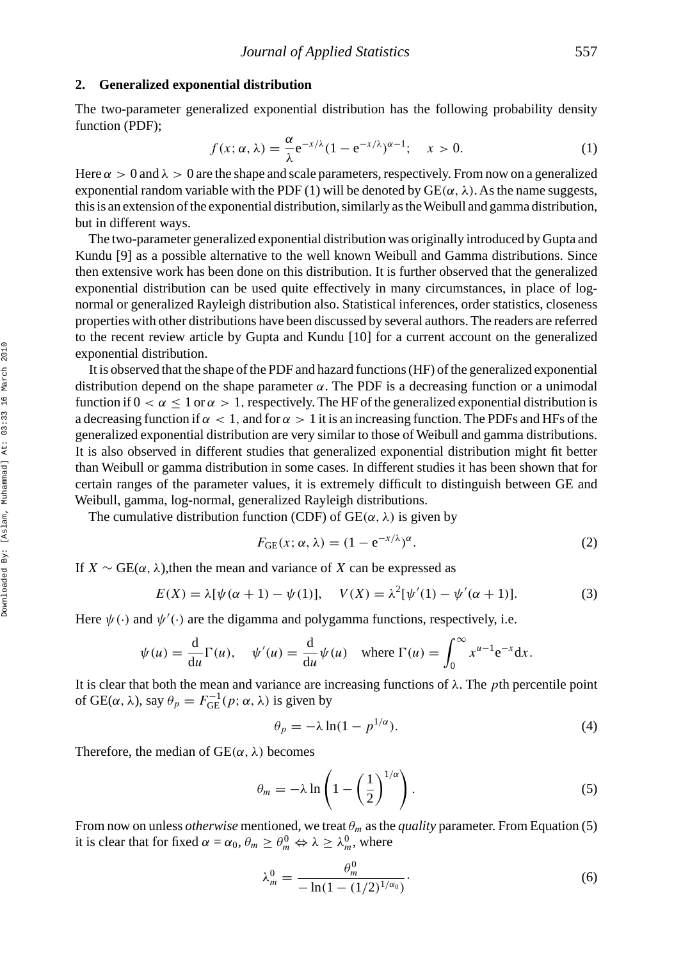#### **2. Generalized exponential distribution**

The two-parameter generalized exponential distribution has the following probability density function (PDF);

$$
f(x; \alpha, \lambda) = \frac{\alpha}{\lambda} e^{-x/\lambda} (1 - e^{-x/\lambda})^{\alpha - 1}; \quad x > 0.
$$
 (1)

Here  $\alpha > 0$  and  $\lambda > 0$  are the shape and scale parameters, respectively. From now on a generalized exponential random variable with the PDF (1) will be denoted by  $GE(\alpha, \lambda)$ . As the name suggests, this is an extension of the exponential distribution, similarly as theWeibull and gamma distribution, but in different ways.

The two-parameter generalized exponential distribution was originally introduced by Gupta and Kundu [9] as a possible alternative to the well known Weibull and Gamma distributions. Since then extensive work has been done on this distribution. It is further observed that the generalized exponential distribution can be used quite effectively in many circumstances, in place of lognormal or generalized Rayleigh distribution also. Statistical inferences, order statistics, closeness properties with other distributions have been discussed by several authors. The readers are referred to the recent review article by Gupta and Kundu [10] for a current account on the generalized exponential distribution.

It is observed that the shape of the PDF and hazard functions (HF) of the generalized exponential distribution depend on the shape parameter  $\alpha$ . The PDF is a decreasing function or a unimodal function if  $0 < \alpha \leq 1$  or  $\alpha > 1$ , respectively. The HF of the generalized exponential distribution is a decreasing function if  $\alpha < 1$ , and for  $\alpha > 1$  it is an increasing function. The PDFs and HFs of the generalized exponential distribution are very similar to those of Weibull and gamma distributions. It is also observed in different studies that generalized exponential distribution might fit better than Weibull or gamma distribution in some cases. In different studies it has been shown that for certain ranges of the parameter values, it is extremely difficult to distinguish between GE and Weibull, gamma, log-normal, generalized Rayleigh distributions.

The cumulative distribution function (CDF) of  $GE(\alpha, \lambda)$  is given by

$$
F_{GE}(x; \alpha, \lambda) = (1 - e^{-x/\lambda})^{\alpha}.
$$
 (2)

If  $X \sim \text{GE}(\alpha, \lambda)$ , then the mean and variance of *X* can be expressed as

$$
E(X) = \lambda [\psi(\alpha + 1) - \psi(1)], \quad V(X) = \lambda^2 [\psi'(1) - \psi'(\alpha + 1)].
$$
 (3)

Here  $\psi(\cdot)$  and  $\psi'(\cdot)$  are the digamma and polygamma functions, respectively, i.e.

$$
\psi(u) = \frac{\mathrm{d}}{\mathrm{d}u} \Gamma(u), \quad \psi'(u) = \frac{\mathrm{d}}{\mathrm{d}u} \psi(u) \quad \text{where } \Gamma(u) = \int_0^\infty x^{u-1} e^{-x} \mathrm{d}x.
$$

It is clear that both the mean and variance are increasing functions of *λ*. The *p*th percentile point of  $GE(\alpha, \lambda)$ , say  $\theta_p = F_{GE}^{-1}(p; \alpha, \lambda)$  is given by

$$
\theta_p = -\lambda \ln(1 - p^{1/\alpha}).\tag{4}
$$

Therefore, the median of  $GE(\alpha, \lambda)$  becomes

$$
\theta_m = -\lambda \ln \left( 1 - \left(\frac{1}{2}\right)^{1/\alpha} \right). \tag{5}
$$

From now on unless *otherwise* mentioned, we treat  $\theta_m$  as the *quality* parameter. From Equation (5) it is clear that for fixed  $\alpha = \alpha_0$ ,  $\theta_m \ge \theta_m^0 \Leftrightarrow \lambda \ge \lambda_m^0$ , where

$$
\lambda_m^0 = \frac{\theta_m^0}{-\ln(1 - (1/2)^{1/\alpha_0})}.
$$
\n(6)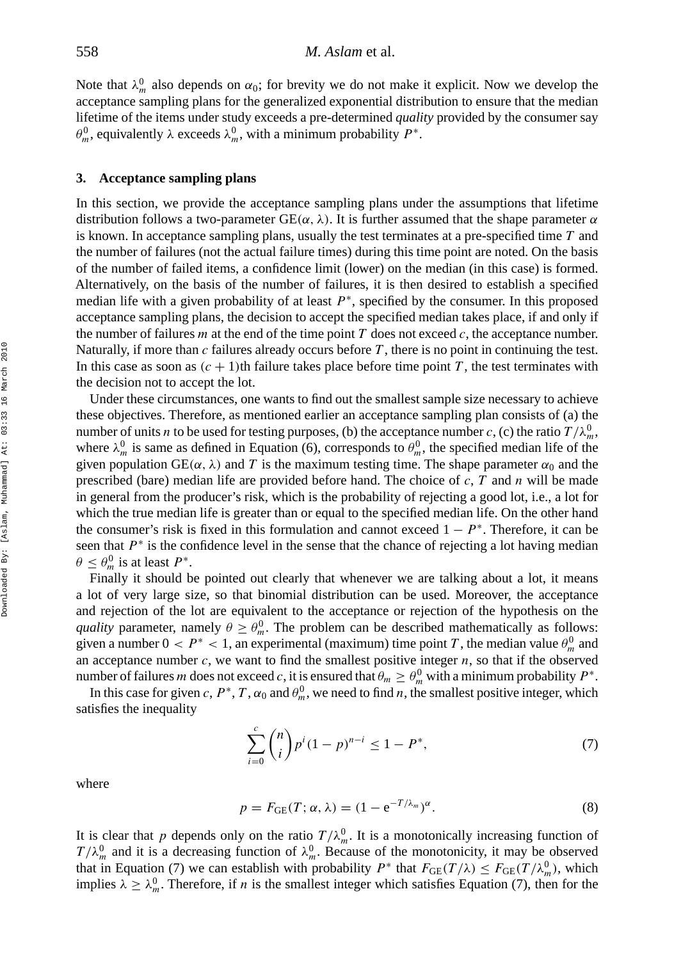Note that  $\lambda_m^0$  also depends on  $\alpha_0$ ; for brevity we do not make it explicit. Now we develop the acceptance sampling plans for the generalized exponential distribution to ensure that the median lifetime of the items under study exceeds a pre-determined *quality* provided by the consumer say  $\theta_m^0$ , equivalently  $\lambda$  exceeds  $\lambda_m^0$ , with a minimum probability  $P^*$ .

#### **3. Acceptance sampling plans**

In this section, we provide the acceptance sampling plans under the assumptions that lifetime distribution follows a two-parameter GE*(α, λ)*. It is further assumed that the shape parameter *α* is known. In acceptance sampling plans, usually the test terminates at a pre-specified time *T* and the number of failures (not the actual failure times) during this time point are noted. On the basis of the number of failed items, a confidence limit (lower) on the median (in this case) is formed. Alternatively, on the basis of the number of failures, it is then desired to establish a specified median life with a given probability of at least *P*<sup>∗</sup>, specified by the consumer. In this proposed acceptance sampling plans, the decision to accept the specified median takes place, if and only if the number of failures  $m$  at the end of the time point  $T$  does not exceed  $c$ , the acceptance number. Naturally, if more than *c* failures already occurs before *T* , there is no point in continuing the test. In this case as soon as  $(c + 1)$ th failure takes place before time point *T*, the test terminates with the decision not to accept the lot.

Under these circumstances, one wants to find out the smallest sample size necessary to achieve these objectives. Therefore, as mentioned earlier an acceptance sampling plan consists of (a) the number of units *n* to be used for testing purposes, (b) the acceptance number *c*, (c) the ratio  $T/\lambda_m^0$ , where  $\lambda_m^0$  is same as defined in Equation (6), corresponds to  $\theta_m^0$ , the specified median life of the given population  $GE(\alpha, \lambda)$  and T is the maximum testing time. The shape parameter  $\alpha_0$  and the prescribed (bare) median life are provided before hand. The choice of *c*, *T* and *n* will be made in general from the producer's risk, which is the probability of rejecting a good lot, i.e., a lot for which the true median life is greater than or equal to the specified median life. On the other hand the consumer's risk is fixed in this formulation and cannot exceed  $1 - P^*$ . Therefore, it can be seen that *P*<sup>∗</sup> is the confidence level in the sense that the chance of rejecting a lot having median  $\theta \leq \theta_m^0$  is at least  $P^*$ .

Finally it should be pointed out clearly that whenever we are talking about a lot, it means a lot of very large size, so that binomial distribution can be used. Moreover, the acceptance and rejection of the lot are equivalent to the acceptance or rejection of the hypothesis on the *quality* parameter, namely  $\theta \geq \theta_m^0$ . The problem can be described mathematically as follows: given a number  $0 < P^* < 1$ , an experimental (maximum) time point *T*, the median value  $\theta_m^0$  and an acceptance number  $c$ , we want to find the smallest positive integer  $n$ , so that if the observed number of failures *m* does not exceed *c*, it is ensured that  $\theta_m \geq \theta_m^0$  with a minimum probability  $P^*$ .

In this case for given *c*,  $P^*$ ,  $T$ ,  $\alpha_0$  and  $\theta_m^0$ , we need to find *n*, the smallest positive integer, which satisfies the inequality

$$
\sum_{i=0}^{c} \binom{n}{i} p^i (1-p)^{n-i} \le 1 - P^*,\tag{7}
$$

where

$$
p = F_{GE}(T; \alpha, \lambda) = (1 - e^{-T/\lambda_m})^{\alpha}.
$$
\n(8)

It is clear that *p* depends only on the ratio  $T/\lambda_m^0$ . It is a monotonically increasing function of  $T/\lambda_m^0$  and it is a decreasing function of  $\lambda_m^0$ . Because of the monotonicity, it may be observed that in Equation (7) we can establish with probability  $P^*$  that  $F_{GE}(T/\lambda) \leq F_{GE}(T/\lambda_m^0)$ , which implies  $\lambda \geq \lambda_m^0$ . Therefore, if *n* is the smallest integer which satisfies Equation (7), then for the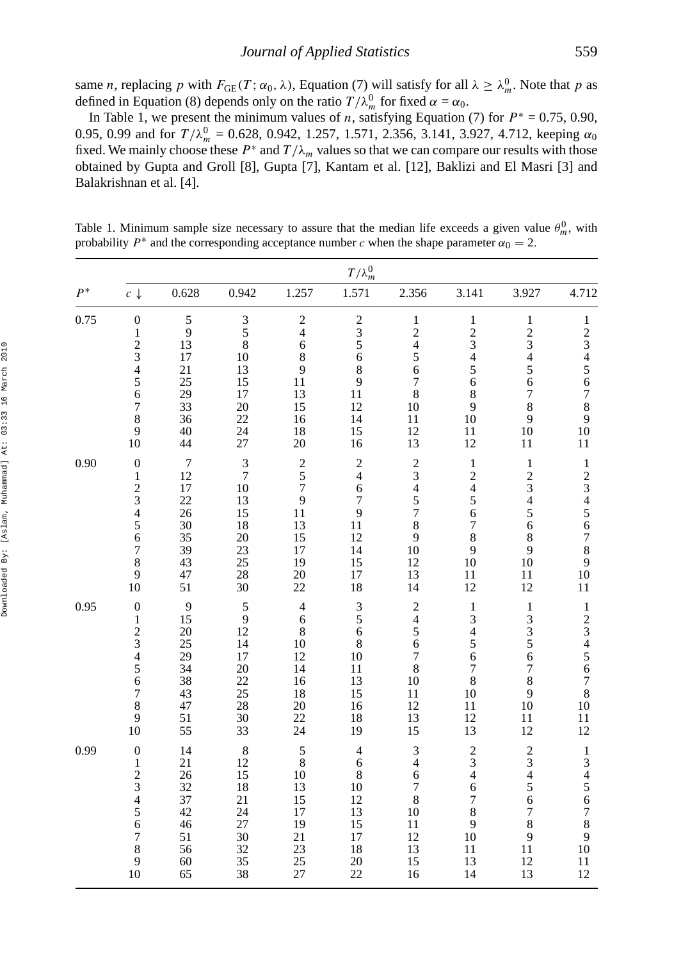same *n*, replacing *p* with  $F_{GE}(T; \alpha_0, \lambda)$ , Equation (7) will satisfy for all  $\lambda \geq \lambda_m^0$ . Note that *p* as defined in Equation (8) depends only on the ratio  $T/\lambda_m^0$  for fixed  $\alpha = \alpha_0$ .

In Table 1, we present the minimum values of *n*, satisfying Equation (7) for  $P^* = 0.75$ , 0.90, 0.95, 0.99 and for  $T/\lambda_m^0 = 0.628$ , 0.942, 1.257, 1.571, 2.356, 3.141, 3.927, 4.712, keeping  $\alpha_0$ fixed. We mainly choose these  $P^*$  and  $T/\lambda_m$  values so that we can compare our results with those obtained by Gupta and Groll [8], Gupta [7], Kantam et al. [12], Baklizi and El Masri [3] and Balakrishnan et al. [4].

Table 1. Minimum sample size necessary to assure that the median life exceeds a given value  $\theta_m^0$ , with probability  $P^*$  and the corresponding acceptance number *c* when the shape parameter  $\alpha_0 = 2$ .

|       | $T/\lambda_m^0$                                                                                                                       |                                                                            |                                                                                            |                                                                                           |                                                                                                 |                                                                                                             |                                                                                                                |                                                                                                               |                                                                                                                      |  |
|-------|---------------------------------------------------------------------------------------------------------------------------------------|----------------------------------------------------------------------------|--------------------------------------------------------------------------------------------|-------------------------------------------------------------------------------------------|-------------------------------------------------------------------------------------------------|-------------------------------------------------------------------------------------------------------------|----------------------------------------------------------------------------------------------------------------|---------------------------------------------------------------------------------------------------------------|----------------------------------------------------------------------------------------------------------------------|--|
| $P^*$ | $c \downarrow$                                                                                                                        | 0.628                                                                      | 0.942                                                                                      | 1.257                                                                                     | 1.571                                                                                           | 2.356                                                                                                       | 3.141                                                                                                          | 3.927                                                                                                         | 4.712                                                                                                                |  |
| 0.75  | $\boldsymbol{0}$<br>$\,1$<br>$\frac{2}{3}$<br>$\overline{4}$<br>$\frac{5}{6}$<br>$\overline{7}$<br>8<br>9<br>10                       | 5<br>$\overline{9}$<br>13<br>17<br>21<br>25<br>29<br>33<br>36<br>40<br>44  | $\begin{array}{c} 3 \\ 5 \\ 8 \end{array}$<br>10<br>13<br>15<br>17<br>20<br>22<br>24<br>27 | $\begin{array}{c} 2 \\ 4 \\ 6 \end{array}$<br>8<br>9<br>11<br>13<br>15<br>16<br>18<br>20  | $\begin{array}{c} 2 \\ 3 \\ 5 \end{array}$<br>6<br>$\bar{8}$<br>9<br>11<br>12<br>14<br>15<br>16 | $\,1\,$<br>$\begin{array}{c}\n2 \\ 4 \\ 5 \\ 6\n\end{array}$<br>7<br>$\overline{8}$<br>10<br>11<br>12<br>13 | $\frac{1}{2}$ 3 4 5<br>$\begin{array}{c} 6 \\ 8 \end{array}$<br>$\overline{9}$<br>10<br>11<br>12               | $\frac{1}{2}$ 3 4 5<br>$\frac{6}{7}$<br>8<br>$\overline{9}$<br>10<br>11                                       | 123456789<br>10<br>11                                                                                                |  |
| 0.90  | $\mathbf{0}$<br>$\,1$<br>$\overline{c}$<br>$\frac{3}{4}$<br>$\frac{5}{6}$<br>$\overline{7}$<br>8<br>9<br>10                           | $\overline{7}$<br>12<br>17<br>22<br>26<br>30<br>35<br>39<br>43<br>47<br>51 | 3<br>$\overline{7}$<br>10<br>13<br>15<br>18<br>20<br>23<br>25<br>28<br>30                  | $\begin{array}{c} 2 \\ 5 \\ 7 \end{array}$<br>9<br>11<br>13<br>15<br>17<br>19<br>20<br>22 | $\frac{2}{4}$<br>6<br>7<br>9<br>11<br>12<br>14<br>15<br>17<br>18                                | $\begin{array}{c} 2 \\ 3 \\ 4 \end{array}$<br>$\frac{5}{7}$<br>8<br>9<br>10<br>12<br>13<br>14               | $\mathbf{1}$<br>$\frac{2}{4}$<br>$\frac{5}{6}$<br>$\begin{array}{c} 7 \\ 8 \end{array}$<br>9<br>10<br>11<br>12 | $\mathbf{1}$<br>$\frac{2}{3}$<br>$\frac{4}{5}$<br>$rac{6}{8}$<br>9<br>10<br>11<br>12                          | 123456789<br>10<br>11                                                                                                |  |
| 0.95  | $\boldsymbol{0}$<br>$\mathbf{1}$<br>$\overline{\mathbf{c}}$<br>3<br>$\overline{4}$<br>$\frac{5}{6}$<br>$\overline{7}$<br>8<br>9<br>10 | $\frac{9}{15}$<br>20<br>25<br>29<br>34<br>38<br>43<br>47<br>51<br>55       | 5<br>9<br>12<br>14<br>17<br>20<br>22<br>25<br>28<br>30<br>33                               | $\overline{4}$<br>6<br>8<br>10<br>12<br>14<br>16<br>18<br>20<br>22<br>24                  | $\frac{3}{5}$<br>6<br>8<br>10<br>11<br>13<br>15<br>16<br>18<br>19                               | $\frac{2}{4}$<br>5<br>$\overline{6}$<br>7<br>8<br>10<br>11<br>12<br>13<br>15                                | $\,1\,$<br>3<br>$\overline{\mathcal{L}}$<br>5<br>$\frac{6}{7}$<br>8<br>10<br>11<br>12<br>13                    | $\,1$<br>$\begin{array}{c} 3 \\ 3 \\ 5 \end{array}$<br>$\frac{6}{7}$<br>8<br>$\overline{9}$<br>10<br>11<br>12 | $\,1\,$<br>234567<br>$\bar{8}$<br>10<br>11<br>12                                                                     |  |
| 0.99  | $\mathbf{0}$<br>$\mathbf{1}$<br>$\overline{c}$<br>3<br>$\overline{4}$<br>5<br>6<br>$\overline{7}$<br>8<br>9<br>10                     | 14<br>21<br>26<br>32<br>37<br>42<br>46<br>51<br>56<br>60<br>65             | 8<br>12<br>15<br>18<br>21<br>24<br>27<br>30<br>32<br>35<br>38                              | $\frac{5}{8}$<br>10<br>13<br>15<br>17<br>19<br>21<br>23<br>25<br>27                       | $\overline{4}$<br>6<br>8<br>10<br>12<br>13<br>15<br>17<br>18<br>20<br>22                        | $\frac{3}{4}$<br>6<br>7<br>8<br>10<br>11<br>12<br>13<br>15<br>16                                            | $\begin{array}{c} 2 \\ 3 \\ 4 \end{array}$<br>6<br>7<br>8<br>9<br>10<br>11<br>13<br>14                         | $\begin{array}{c} 2 \\ 3 \\ 4 \end{array}$<br>5<br>$\frac{6}{7}$<br>8<br>9<br>11<br>12<br>13                  | $\begin{array}{c} 1 \\ 3 \\ 4 \end{array}$<br>$\begin{array}{c} 5 \\ 6 \\ 7 \end{array}$<br>8<br>9<br>10<br>11<br>12 |  |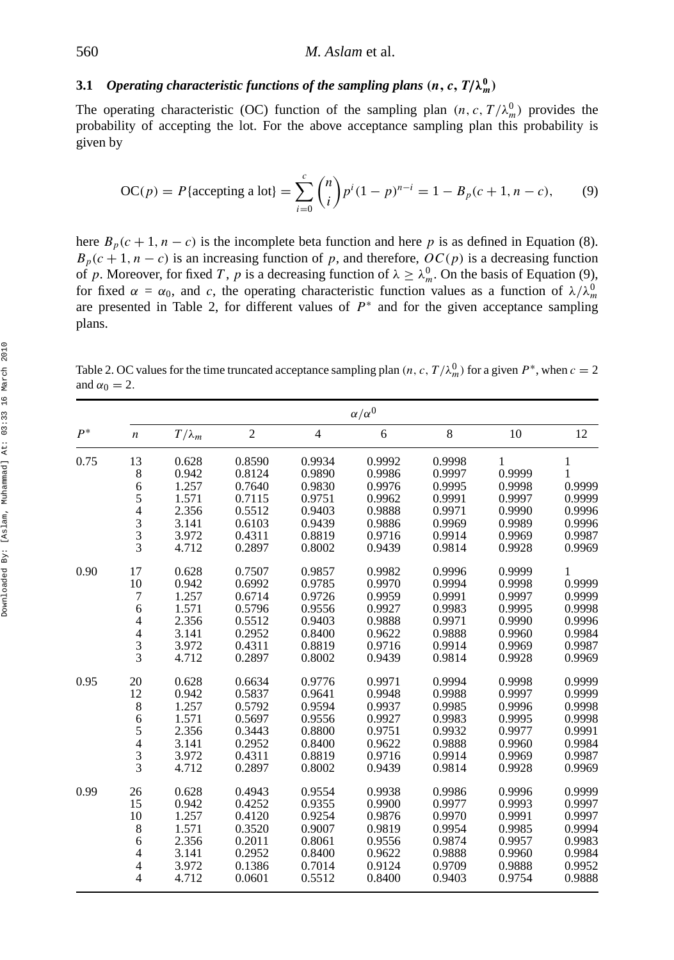### **3.1** *Operating characteristic functions of the sampling plans*  $(n, c, T/\lambda_m^0)$

The operating characteristic (OC) function of the sampling plan  $(n, c, T/\lambda_m^0)$  provides the probability of accepting the lot. For the above acceptance sampling plan this probability is given by

$$
OC(p) = P\{\text{accepting a lot}\} = \sum_{i=0}^{c} {n \choose i} p^i (1-p)^{n-i} = 1 - B_p(c+1, n-c), \tag{9}
$$

here  $B_p(c+1, n-c)$  is the incomplete beta function and here p is as defined in Equation (8).  $B_p(c+1, n-c)$  is an increasing function of *p*, and therefore,  $OC(p)$  is a decreasing function of *p*. Moreover, for fixed *T*, *p* is a decreasing function of  $\lambda \geq \lambda_m^0$ . On the basis of Equation (9), for fixed  $\alpha = \alpha_0$ , and *c*, the operating characteristic function values as a function of  $\lambda/\lambda_m^0$ are presented in Table 2, for different values of *P*<sup>∗</sup> and for the given acceptance sampling plans.

Table 2. OC values for the time truncated acceptance sampling plan  $(n, c, T/\lambda_m^0)$  for a given  $P^*$ , when  $c = 2$ and  $\alpha_0 = 2$ .

|       |                                            | $\alpha/\alpha^0$ |                |                |        |        |        |        |  |  |  |  |
|-------|--------------------------------------------|-------------------|----------------|----------------|--------|--------|--------|--------|--|--|--|--|
| $P^*$ | $\boldsymbol{n}$                           | $T/\lambda_m$     | $\overline{2}$ | $\overline{4}$ | 6      | 8      | 10     | 12     |  |  |  |  |
| 0.75  | 13                                         | 0.628             | 0.8590         | 0.9934         | 0.9992 | 0.9998 | 1      | 1      |  |  |  |  |
|       | 8                                          | 0.942             | 0.8124         | 0.9890         | 0.9986 | 0.9997 | 0.9999 | 1      |  |  |  |  |
|       | $\begin{array}{c} 6 \\ 5 \end{array}$      | 1.257             | 0.7640         | 0.9830         | 0.9976 | 0.9995 | 0.9998 | 0.9999 |  |  |  |  |
|       |                                            | 1.571             | 0.7115         | 0.9751         | 0.9962 | 0.9991 | 0.9997 | 0.9999 |  |  |  |  |
|       | $\begin{array}{c} 4 \\ 3 \\ 3 \end{array}$ | 2.356             | 0.5512         | 0.9403         | 0.9888 | 0.9971 | 0.9990 | 0.9996 |  |  |  |  |
|       |                                            | 3.141             | 0.6103         | 0.9439         | 0.9886 | 0.9969 | 0.9989 | 0.9996 |  |  |  |  |
|       |                                            | 3.972             | 0.4311         | 0.8819         | 0.9716 | 0.9914 | 0.9969 | 0.9987 |  |  |  |  |
|       | $\overline{3}$                             | 4.712             | 0.2897         | 0.8002         | 0.9439 | 0.9814 | 0.9928 | 0.9969 |  |  |  |  |
| 0.90  | 17                                         | 0.628             | 0.7507         | 0.9857         | 0.9982 | 0.9996 | 0.9999 | 1      |  |  |  |  |
|       | 10                                         | 0.942             | 0.6992         | 0.9785         | 0.9970 | 0.9994 | 0.9998 | 0.9999 |  |  |  |  |
|       | $\boldsymbol{7}$                           | 1.257             | 0.6714         | 0.9726         | 0.9959 | 0.9991 | 0.9997 | 0.9999 |  |  |  |  |
|       | 6                                          | 1.571             | 0.5796         | 0.9556         | 0.9927 | 0.9983 | 0.9995 | 0.9998 |  |  |  |  |
|       | $\overline{\mathcal{L}}$                   | 2.356             | 0.5512         | 0.9403         | 0.9888 | 0.9971 | 0.9990 | 0.9996 |  |  |  |  |
|       | $\overline{\mathcal{L}}$                   | 3.141             | 0.2952         | 0.8400         | 0.9622 | 0.9888 | 0.9960 | 0.9984 |  |  |  |  |
|       | $\frac{3}{3}$                              | 3.972             | 0.4311         | 0.8819         | 0.9716 | 0.9914 | 0.9969 | 0.9987 |  |  |  |  |
|       |                                            | 4.712             | 0.2897         | 0.8002         | 0.9439 | 0.9814 | 0.9928 | 0.9969 |  |  |  |  |
| 0.95  | 20                                         | 0.628             | 0.6634         | 0.9776         | 0.9971 | 0.9994 | 0.9998 | 0.9999 |  |  |  |  |
|       | 12                                         | 0.942             | 0.5837         | 0.9641         | 0.9948 | 0.9988 | 0.9997 | 0.9999 |  |  |  |  |
|       | 8                                          | 1.257             | 0.5792         | 0.9594         | 0.9937 | 0.9985 | 0.9996 | 0.9998 |  |  |  |  |
|       | 6                                          | 1.571             | 0.5697         | 0.9556         | 0.9927 | 0.9983 | 0.9995 | 0.9998 |  |  |  |  |
|       | 5                                          | 2.356             | 0.3443         | 0.8800         | 0.9751 | 0.9932 | 0.9977 | 0.9991 |  |  |  |  |
|       | $\overline{\mathcal{L}}$                   | 3.141             | 0.2952         | 0.8400         | 0.9622 | 0.9888 | 0.9960 | 0.9984 |  |  |  |  |
|       | $\frac{3}{3}$                              | 3.972             | 0.4311         | 0.8819         | 0.9716 | 0.9914 | 0.9969 | 0.9987 |  |  |  |  |
|       |                                            | 4.712             | 0.2897         | 0.8002         | 0.9439 | 0.9814 | 0.9928 | 0.9969 |  |  |  |  |
| 0.99  | 26                                         | 0.628             | 0.4943         | 0.9554         | 0.9938 | 0.9986 | 0.9996 | 0.9999 |  |  |  |  |
|       | 15                                         | 0.942             | 0.4252         | 0.9355         | 0.9900 | 0.9977 | 0.9993 | 0.9997 |  |  |  |  |
|       | 10                                         | 1.257             | 0.4120         | 0.9254         | 0.9876 | 0.9970 | 0.9991 | 0.9997 |  |  |  |  |
|       | $\,$ 8 $\,$                                | 1.571             | 0.3520         | 0.9007         | 0.9819 | 0.9954 | 0.9985 | 0.9994 |  |  |  |  |
|       | 6                                          | 2.356             | 0.2011         | 0.8061         | 0.9556 | 0.9874 | 0.9957 | 0.9983 |  |  |  |  |
|       | 4                                          | 3.141             | 0.2952         | 0.8400         | 0.9622 | 0.9888 | 0.9960 | 0.9984 |  |  |  |  |
|       | $\overline{4}$                             | 3.972             | 0.1386         | 0.7014         | 0.9124 | 0.9709 | 0.9888 | 0.9952 |  |  |  |  |
|       | $\overline{4}$                             | 4.712             | 0.0601         | 0.5512         | 0.8400 | 0.9403 | 0.9754 | 0.9888 |  |  |  |  |
|       |                                            |                   |                |                |        |        |        |        |  |  |  |  |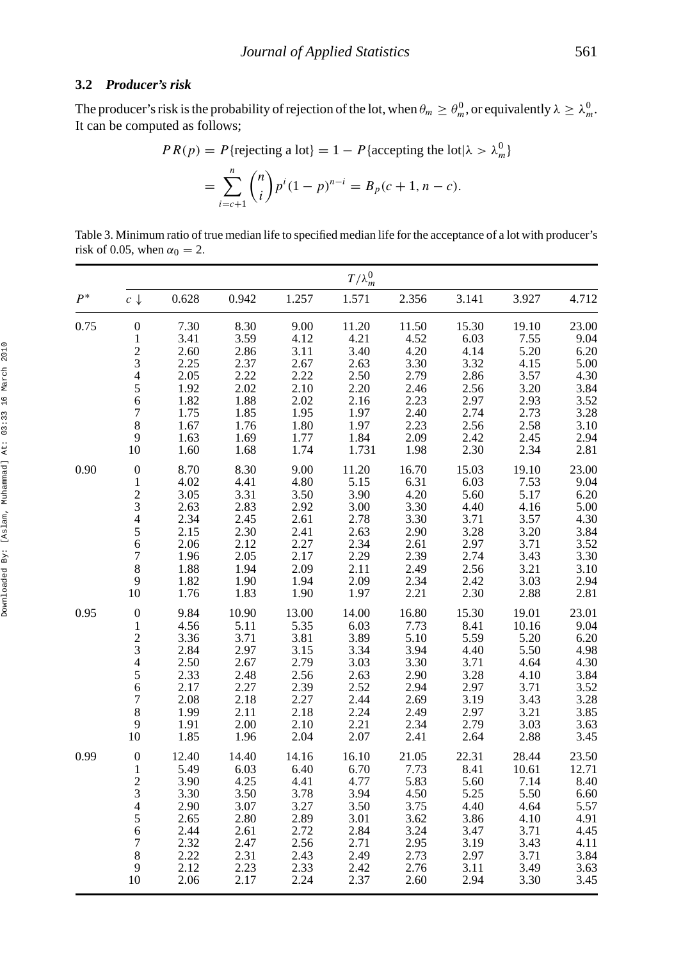#### **3.2** *Producer's risk*

The producer's risk is the probability of rejection of the lot, when  $\theta_m \geq \theta_m^0$ , or equivalently  $\lambda \geq \lambda_m^0$ . It can be computed as follows;

$$
PR(p) = P\{\text{rejecting a lot}\} = 1 - P\{\text{accepting the lot}|\lambda > \lambda_m^0\}
$$

$$
= \sum_{i=c+1}^n {n \choose i} p^i (1-p)^{n-i} = B_p(c+1, n-c).
$$

| Table 3. Minimum ratio of true median life to specified median life for the acceptance of a lot with producer's |  |  |
|-----------------------------------------------------------------------------------------------------------------|--|--|
| risk of 0.05, when $\alpha_0 = 2$ .                                                                             |  |  |

|       | $T/\lambda_m^0$                                                                                                             |                                                                                       |                                                                                       |                                                                                          |                                                                                        |                                                                                       |                                                                                           |                                                                                        |                                                                                        |
|-------|-----------------------------------------------------------------------------------------------------------------------------|---------------------------------------------------------------------------------------|---------------------------------------------------------------------------------------|------------------------------------------------------------------------------------------|----------------------------------------------------------------------------------------|---------------------------------------------------------------------------------------|-------------------------------------------------------------------------------------------|----------------------------------------------------------------------------------------|----------------------------------------------------------------------------------------|
| $P^*$ | $c \downarrow$                                                                                                              | 0.628                                                                                 | 0.942                                                                                 | 1.257                                                                                    | 1.571                                                                                  | 2.356                                                                                 | 3.141                                                                                     | 3.927                                                                                  | 4.712                                                                                  |
| 0.75  | $\boldsymbol{0}$<br>$\mathbf{1}$<br>$\overline{c}$<br>3<br>$\overline{4}$<br>$\frac{5}{6}$<br>$\sqrt{ }$<br>8<br>9<br>10    | 7.30<br>3.41<br>2.60<br>2.25<br>2.05<br>1.92<br>1.82<br>1.75<br>1.67<br>1.63<br>1.60  | 8.30<br>3.59<br>2.86<br>2.37<br>2.22<br>2.02<br>1.88<br>1.85<br>1.76<br>1.69<br>1.68  | 9.00<br>4.12<br>3.11<br>2.67<br>2.22<br>2.10<br>2.02<br>1.95<br>$1.80\,$<br>1.77<br>1.74 | 11.20<br>4.21<br>3.40<br>2.63<br>2.50<br>2.20<br>2.16<br>1.97<br>1.97<br>1.84<br>1.731 | 11.50<br>4.52<br>4.20<br>3.30<br>2.79<br>2.46<br>2.23<br>2.40<br>2.23<br>2.09<br>1.98 | 15.30<br>6.03<br>4.14<br>3.32<br>2.86<br>2.56<br>2.97<br>2.74<br>2.56<br>2.42<br>2.30     | 19.10<br>7.55<br>5.20<br>4.15<br>3.57<br>3.20<br>2.93<br>2.73<br>2.58<br>2.45<br>2.34  | 23.00<br>9.04<br>6.20<br>5.00<br>4.30<br>3.84<br>3.52<br>3.28<br>3.10<br>2.94<br>2.81  |
| 0.90  | $\boldsymbol{0}$<br>$\mathbf{1}$<br>$\overline{c}$<br>3<br>$\overline{\mathbf{4}}$<br>5<br>6<br>7<br>$\,8\,$<br>9<br>10     | 8.70<br>4.02<br>3.05<br>2.63<br>2.34<br>2.15<br>2.06<br>1.96<br>1.88<br>1.82<br>1.76  | 8.30<br>4.41<br>3.31<br>2.83<br>2.45<br>2.30<br>2.12<br>2.05<br>1.94<br>1.90<br>1.83  | 9.00<br>4.80<br>3.50<br>2.92<br>2.61<br>2.41<br>2.27<br>2.17<br>2.09<br>1.94<br>1.90     | 11.20<br>5.15<br>3.90<br>3.00<br>2.78<br>2.63<br>2.34<br>2.29<br>2.11<br>2.09<br>1.97  | 16.70<br>6.31<br>4.20<br>3.30<br>3.30<br>2.90<br>2.61<br>2.39<br>2.49<br>2.34<br>2.21 | 15.03<br>6.03<br>5.60<br>4.40<br>3.71<br>3.28<br>2.97<br>2.74<br>2.56<br>2.42<br>2.30     | 19.10<br>7.53<br>5.17<br>4.16<br>3.57<br>3.20<br>3.71<br>3.43<br>3.21<br>3.03<br>2.88  | 23.00<br>9.04<br>6.20<br>5.00<br>4.30<br>3.84<br>3.52<br>3.30<br>3.10<br>2.94<br>2.81  |
| 0.95  | $\boldsymbol{0}$<br>$\mathbf{1}$<br>$\frac{2}{3}$<br>$\overline{4}$<br>$\overline{5}$<br>6<br>7<br>$\,8\,$<br>9<br>10       | 9.84<br>4.56<br>3.36<br>2.84<br>2.50<br>2.33<br>2.17<br>2.08<br>1.99<br>1.91<br>1.85  | 10.90<br>5.11<br>3.71<br>2.97<br>2.67<br>2.48<br>2.27<br>2.18<br>2.11<br>2.00<br>1.96 | 13.00<br>5.35<br>3.81<br>3.15<br>2.79<br>2.56<br>2.39<br>2.27<br>2.18<br>2.10<br>2.04    | 14.00<br>6.03<br>3.89<br>3.34<br>3.03<br>2.63<br>2.52<br>2.44<br>2.24<br>2.21<br>2.07  | 16.80<br>7.73<br>5.10<br>3.94<br>3.30<br>2.90<br>2.94<br>2.69<br>2.49<br>2.34<br>2.41 | 15.30<br>8.41<br>5.59<br>4.40<br>3.71<br>$3.28$<br>$2.97$<br>3.19<br>2.97<br>2.79<br>2.64 | 19.01<br>10.16<br>5.20<br>5.50<br>4.64<br>4.10<br>3.71<br>3.43<br>3.21<br>3.03<br>2.88 | 23.01<br>9.04<br>6.20<br>4.98<br>4.30<br>3.84<br>3.52<br>3.28<br>3.85<br>3.63<br>3.45  |
| 0.99  | $\boldsymbol{0}$<br>$\mathbf{1}$<br>$\frac{2}{3}$<br>$\overline{\mathcal{L}}$<br>5<br>6<br>$\boldsymbol{7}$<br>8<br>9<br>10 | 12.40<br>5.49<br>3.90<br>3.30<br>2.90<br>2.65<br>2.44<br>2.32<br>2.22<br>2.12<br>2.06 | 14.40<br>6.03<br>4.25<br>3.50<br>3.07<br>2.80<br>2.61<br>2.47<br>2.31<br>2.23<br>2.17 | 14.16<br>6.40<br>4.41<br>3.78<br>3.27<br>2.89<br>2.72<br>2.56<br>2.43<br>2.33<br>2.24    | 16.10<br>6.70<br>4.77<br>3.94<br>3.50<br>3.01<br>2.84<br>2.71<br>2.49<br>2.42<br>2.37  | 21.05<br>7.73<br>5.83<br>4.50<br>3.75<br>3.62<br>3.24<br>2.95<br>2.73<br>2.76<br>2.60 | 22.31<br>8.41<br>5.60<br>5.25<br>4.40<br>3.86<br>3.47<br>3.19<br>2.97<br>3.11<br>2.94     | 28.44<br>10.61<br>7.14<br>5.50<br>4.64<br>4.10<br>3.71<br>3.43<br>3.71<br>3.49<br>3.30 | 23.50<br>12.71<br>8.40<br>6.60<br>5.57<br>4.91<br>4.45<br>4.11<br>3.84<br>3.63<br>3.45 |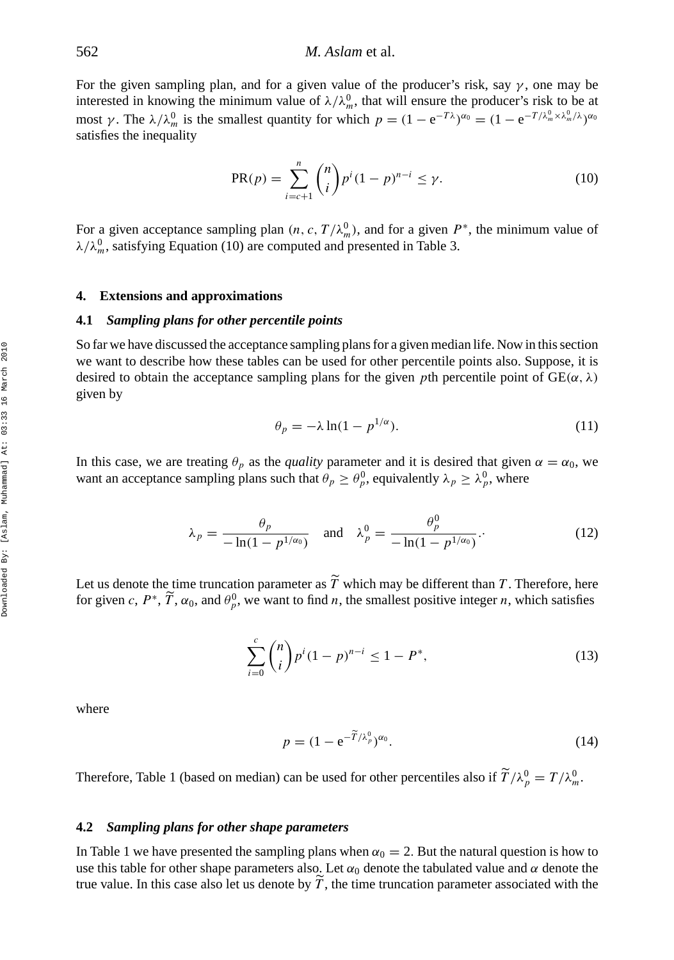For the given sampling plan, and for a given value of the producer's risk, say *γ* , one may be interested in knowing the minimum value of  $\lambda/\lambda_m^0$ , that will ensure the producer's risk to be at most *γ*. The  $λ/λ_m^0$  is the smallest quantity for which  $p = (1 - e^{-Tλ})^{\alpha_0} = (1 - e^{-T/λ_m^0 \times λ_m^0/λ})^{\alpha_0}$ satisfies the inequality

$$
PR(p) = \sum_{i=c+1}^{n} {n \choose i} p^{i} (1-p)^{n-i} \le \gamma.
$$
 (10)

For a given acceptance sampling plan  $(n, c, T/\lambda_m^0)$ , and for a given  $P^*$ , the minimum value of  $\lambda/\lambda_m^0$ , satisfying Equation (10) are computed and presented in Table 3.

#### **4. Extensions and approximations**

#### **4.1** *Sampling plans for other percentile points*

So far we have discussed the acceptance sampling plans for a given median life. Now in this section we want to describe how these tables can be used for other percentile points also. Suppose, it is desired to obtain the acceptance sampling plans for the given *p*th percentile point of  $GE(\alpha, \lambda)$ given by

$$
\theta_p = -\lambda \ln(1 - p^{1/\alpha}).\tag{11}
$$

In this case, we are treating  $\theta_p$  as the *quality* parameter and it is desired that given  $\alpha = \alpha_0$ , we want an acceptance sampling plans such that  $\theta_p \geq \theta_p^0$ , equivalently  $\lambda_p \geq \lambda_p^0$ , where

$$
\lambda_p = \frac{\theta_p}{-\ln(1 - p^{1/\alpha_0})}
$$
 and  $\lambda_p^0 = \frac{\theta_p^0}{-\ln(1 - p^{1/\alpha_0})}$  (12)

Let us denote the time truncation parameter as  $T$  which may be different than  $T$ . Therefore, here for given *c*,  $P^*$ ,  $\widetilde{T}$ ,  $\alpha_0$ , and  $\theta_p^0$ , we want to find *n*, the smallest positive integer *n*, which satisfies

$$
\sum_{i=0}^{c} \binom{n}{i} p^i (1-p)^{n-i} \le 1 - P^*,\tag{13}
$$

where

$$
p = (1 - e^{-\tilde{T}/\lambda_p^0})^{\alpha_0}.
$$
 (14)

Therefore, Table 1 (based on median) can be used for other percentiles also if  $\tilde{T}/\lambda_p^0 = T/\lambda_m^0$ .

#### **4.2** *Sampling plans for other shape parameters*

In Table 1 we have presented the sampling plans when  $\alpha_0 = 2$ . But the natural question is how to use this table for other shape parameters also. Let  $\alpha_0$  denote the tabulated value and  $\alpha$  denote the true value. In this case also let us denote by *T* , the time truncation parameter associated with the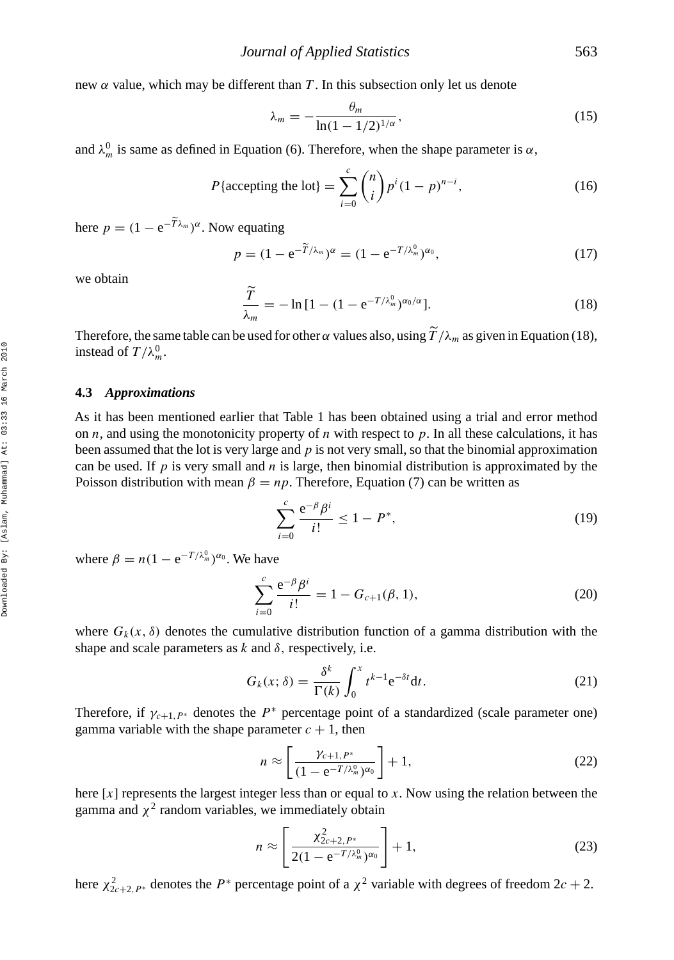new  $\alpha$  value, which may be different than *T*. In this subsection only let us denote

$$
\lambda_m = -\frac{\theta_m}{\ln(1 - 1/2)^{1/\alpha}},\tag{15}
$$

and  $\lambda_m^0$  is same as defined in Equation (6). Therefore, when the shape parameter is  $\alpha$ ,

$$
P\{\text{accepting the lot}\} = \sum_{i=0}^{c} \binom{n}{i} p^i (1-p)^{n-i},\tag{16}
$$

here  $p = (1 - e^{-\widetilde{T} \lambda_m})^{\alpha}$ . Now equating

$$
p = (1 - e^{-\widetilde{T}/\lambda_m})^{\alpha} = (1 - e^{-T/\lambda_m^0})^{\alpha_0},
$$
\n(17)

we obtain

$$
\frac{\widetilde{T}}{\lambda_m} = -\ln\left[1 - (1 - e^{-T/\lambda_m^0})^{\alpha_0/\alpha}\right].\tag{18}
$$

Therefore, the same table can be used for other *α* values also, using  $\widetilde{T}/\lambda_m$  as given in Equation (18), instead of  $T/\lambda_m^0$ .

#### **4.3** *Approximations*

As it has been mentioned earlier that Table 1 has been obtained using a trial and error method on *n*, and using the monotonicity property of *n* with respect to *p*. In all these calculations, it has been assumed that the lot is very large and *p* is not very small, so that the binomial approximation can be used. If *p* is very small and *n* is large, then binomial distribution is approximated by the Poisson distribution with mean  $\beta = np$ . Therefore, Equation (7) can be written as

$$
\sum_{i=0}^{c} \frac{e^{-\beta} \beta^{i}}{i!} \le 1 - P^{*},
$$
\n(19)

where  $\beta = n(1 - e^{-T/\lambda_m^0})^{\alpha_0}$ . We have

$$
\sum_{i=0}^{c} \frac{e^{-\beta} \beta^{i}}{i!} = 1 - G_{c+1}(\beta, 1),
$$
\n(20)

where  $G_k(x, \delta)$  denotes the cumulative distribution function of a gamma distribution with the shape and scale parameters as  $k$  and  $\delta$ , respectively, i.e.

$$
G_k(x; \delta) = \frac{\delta^k}{\Gamma(k)} \int_0^x t^{k-1} e^{-\delta t} dt.
$$
 (21)

Therefore, if  $\gamma_{c+1,P^*}$  denotes the  $P^*$  percentage point of a standardized (scale parameter one) gamma variable with the shape parameter  $c + 1$ , then

$$
n \approx \left[\frac{\gamma_{c+1,P^*}}{(1 - e^{-T/\lambda_m^0})^{\alpha_0}}\right] + 1,\tag{22}
$$

here [*x*] represents the largest integer less than or equal to *x*. Now using the relation between the gamma and  $\chi^2$  random variables, we immediately obtain

$$
n \approx \left[\frac{\chi_{2c+2,P^*}^2}{2(1 - e^{-T/\lambda_m^0})^{\alpha_0}}\right] + 1,
$$
\n(23)

here  $\chi^2_{2c+2, P^*}$  denotes the  $P^*$  percentage point of a  $\chi^2$  variable with degrees of freedom  $2c + 2$ .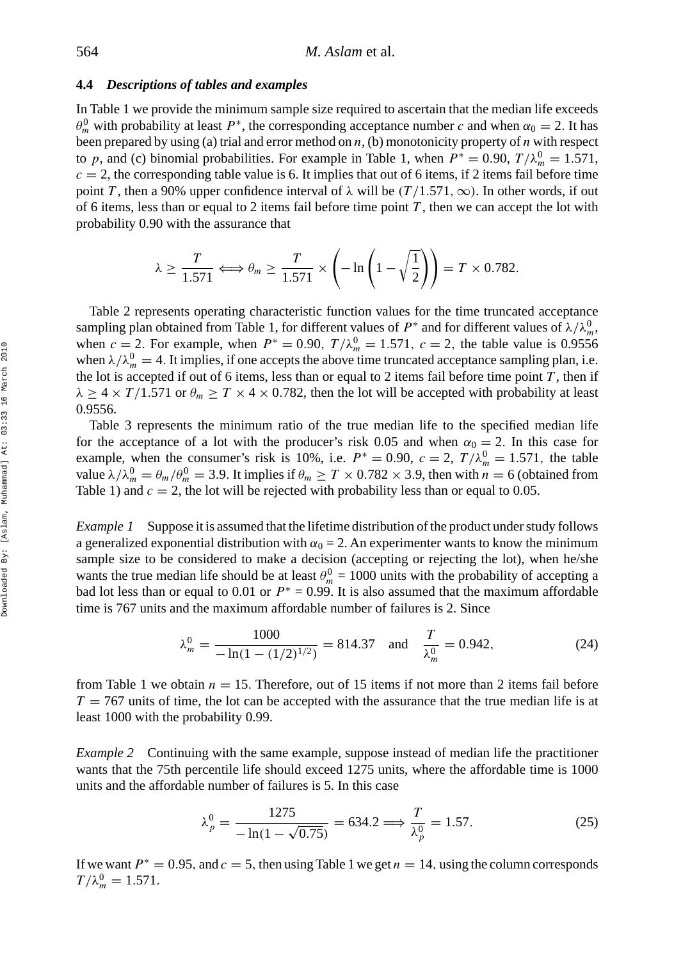#### **4.4** *Descriptions of tables and examples*

In Table 1 we provide the minimum sample size required to ascertain that the median life exceeds  $\theta_m^0$  with probability at least  $P^*$ , the corresponding acceptance number *c* and when  $\alpha_0 = 2$ . It has been prepared by using (a) trial and error method on *n*, (b) monotonicity property of *n* with respect to *p*, and (c) binomial probabilities. For example in Table 1, when  $P^* = 0.90$ ,  $T/\lambda_m^0 = 1.571$ ,  $c = 2$ , the corresponding table value is 6. It implies that out of 6 items, if 2 items fail before time point *T*, then a 90% upper confidence interval of  $\lambda$  will be  $(T/1.571, \infty)$ . In other words, if out of 6 items, less than or equal to 2 items fail before time point  $T$ , then we can accept the lot with probability 0.90 with the assurance that

$$
\lambda \ge \frac{T}{1.571} \Longleftrightarrow \theta_m \ge \frac{T}{1.571} \times \left(-\ln\left(1-\sqrt{\frac{1}{2}}\right)\right) = T \times 0.782.
$$

Table 2 represents operating characteristic function values for the time truncated acceptance sampling plan obtained from Table 1, for different values of  $P^*$  and for different values of  $\lambda/\lambda_m^0$ , when  $c = 2$ . For example, when  $P^* = 0.90$ ,  $T/\lambda_m^0 = 1.571$ ,  $c = 2$ , the table value is 0.9556 when  $\lambda/\lambda_m^0 = 4$ . It implies, if one accepts the above time truncated acceptance sampling plan, i.e. the lot is accepted if out of 6 items, less than or equal to 2 items fail before time point *T* , then if  $\lambda \geq 4 \times T/1.571$  or  $\theta_m \geq T \times 4 \times 0.782$ , then the lot will be accepted with probability at least 0.9556.

Table 3 represents the minimum ratio of the true median life to the specified median life for the acceptance of a lot with the producer's risk 0.05 and when  $\alpha_0 = 2$ . In this case for example, when the consumer's risk is 10%, i.e.  $P^* = 0.90$ ,  $c = 2$ ,  $T/\lambda_m^0 = 1.571$ , the table value  $\lambda/\lambda_m^0 = \theta_m/\theta_m^0 = 3.9$ . It implies if  $\theta_m \geq T \times 0.782 \times 3.9$ , then with  $n = 6$  (obtained from Table 1) and  $c = 2$ , the lot will be rejected with probability less than or equal to 0.05.

*Example 1* Suppose it is assumed that the lifetime distribution of the product under study follows a generalized exponential distribution with  $\alpha_0 = 2$ . An experimenter wants to know the minimum sample size to be considered to make a decision (accepting or rejecting the lot), when he/she wants the true median life should be at least  $\theta_m^0 = 1000$  units with the probability of accepting a bad lot less than or equal to 0.01 or  $P^* = 0.99$ . It is also assumed that the maximum affordable time is 767 units and the maximum affordable number of failures is 2. Since

$$
\lambda_m^0 = \frac{1000}{-\ln(1 - (1/2)^{1/2})} = 814.37 \quad \text{and} \quad \frac{T}{\lambda_m^0} = 0.942,\tag{24}
$$

from Table 1 we obtain  $n = 15$ . Therefore, out of 15 items if not more than 2 items fail before  $T = 767$  units of time, the lot can be accepted with the assurance that the true median life is at least 1000 with the probability 0.99.

*Example 2* Continuing with the same example, suppose instead of median life the practitioner wants that the 75th percentile life should exceed 1275 units, where the affordable time is 1000 units and the affordable number of failures is 5. In this case

$$
\lambda_p^0 = \frac{1275}{-\ln(1 - \sqrt{0.75})} = 634.2 \Longrightarrow \frac{T}{\lambda_p^0} = 1.57. \tag{25}
$$

If we want  $P^* = 0.95$ , and  $c = 5$ , then using Table 1 we get  $n = 14$ , using the column corresponds  $T/\lambda_m^0 = 1.571$ .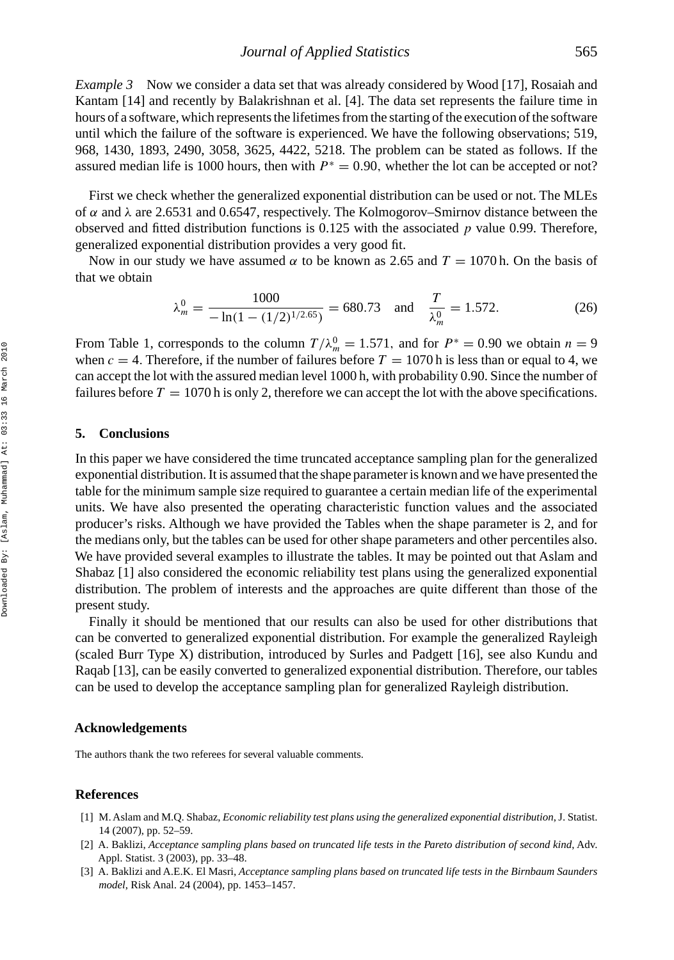*Example 3* Now we consider a data set that was already considered by Wood [17], Rosaiah and Kantam [14] and recently by Balakrishnan et al. [4]. The data set represents the failure time in hours of a software, which represents the lifetimes from the starting of the execution of the software until which the failure of the software is experienced. We have the following observations; 519, 968, 1430, 1893, 2490, 3058, 3625, 4422, 5218. The problem can be stated as follows. If the assured median life is 1000 hours, then with *P*<sup>∗</sup> = 0*.*90*,* whether the lot can be accepted or not?

First we check whether the generalized exponential distribution can be used or not. The MLEs of *α* and *λ* are 2.6531 and 0.6547, respectively. The Kolmogorov–Smirnov distance between the observed and fitted distribution functions is 0.125 with the associated *p* value 0.99. Therefore, generalized exponential distribution provides a very good fit.

Now in our study we have assumed  $\alpha$  to be known as 2.65 and  $T = 1070$  h. On the basis of that we obtain

$$
\lambda_m^0 = \frac{1000}{-\ln(1 - (1/2)^{1/2.65})} = 680.73 \quad \text{and} \quad \frac{T}{\lambda_m^0} = 1.572. \tag{26}
$$

From Table 1, corresponds to the column  $T/\lambda_m^0 = 1.571$ , and for  $P^* = 0.90$  we obtain  $n = 9$ when  $c = 4$ . Therefore, if the number of failures before  $T = 1070$  h is less than or equal to 4, we can accept the lot with the assured median level 1000 h, with probability 0.90. Since the number of failures before  $T = 1070$  h is only 2, therefore we can accept the lot with the above specifications.

#### **5. Conclusions**

In this paper we have considered the time truncated acceptance sampling plan for the generalized exponential distribution. It is assumed that the shape parameter is known and we have presented the table for the minimum sample size required to guarantee a certain median life of the experimental units. We have also presented the operating characteristic function values and the associated producer's risks. Although we have provided the Tables when the shape parameter is 2, and for the medians only, but the tables can be used for other shape parameters and other percentiles also. We have provided several examples to illustrate the tables. It may be pointed out that Aslam and Shabaz [1] also considered the economic reliability test plans using the generalized exponential distribution. The problem of interests and the approaches are quite different than those of the present study.

Finally it should be mentioned that our results can also be used for other distributions that can be converted to generalized exponential distribution. For example the generalized Rayleigh (scaled Burr Type X) distribution, introduced by Surles and Padgett [16], see also Kundu and Raqab [13], can be easily converted to generalized exponential distribution. Therefore, our tables can be used to develop the acceptance sampling plan for generalized Rayleigh distribution.

#### **Acknowledgements**

The authors thank the two referees for several valuable comments.

#### **References**

- [1] M. Aslam and M.Q. Shabaz, *Economic reliability test plans using the generalized exponential distribution*, J. Statist. 14 (2007), pp. 52–59.
- [2] A. Baklizi, *Acceptance sampling plans based on truncated life tests in the Pareto distribution of second kind*, Adv. Appl. Statist. 3 (2003), pp. 33–48.
- [3] A. Baklizi and A.E.K. El Masri, *Acceptance sampling plans based on truncated life tests in the Birnbaum Saunders model*, Risk Anal. 24 (2004), pp. 1453–1457.